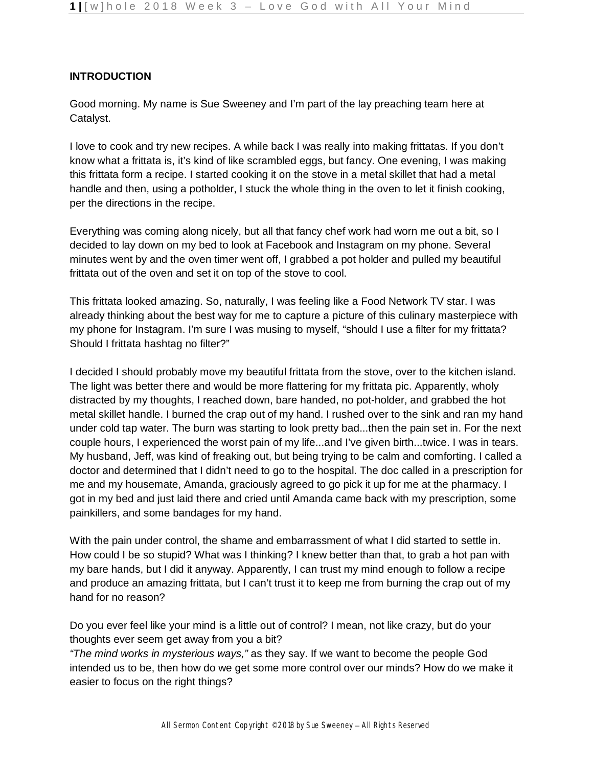# **INTRODUCTION**

Good morning. My name is Sue Sweeney and I'm part of the lay preaching team here at Catalyst.

I love to cook and try new recipes. A while back I was really into making frittatas. If you don't know what a frittata is, it's kind of like scrambled eggs, but fancy. One evening, I was making this frittata form a recipe. I started cooking it on the stove in a metal skillet that had a metal handle and then, using a potholder, I stuck the whole thing in the oven to let it finish cooking, per the directions in the recipe.

Everything was coming along nicely, but all that fancy chef work had worn me out a bit, so I decided to lay down on my bed to look at Facebook and Instagram on my phone. Several minutes went by and the oven timer went off, I grabbed a pot holder and pulled my beautiful frittata out of the oven and set it on top of the stove to cool.

This frittata looked amazing. So, naturally, I was feeling like a Food Network TV star. I was already thinking about the best way for me to capture a picture of this culinary masterpiece with my phone for Instagram. I'm sure I was musing to myself, "should I use a filter for my frittata? Should I frittata hashtag no filter?"

I decided I should probably move my beautiful frittata from the stove, over to the kitchen island. The light was better there and would be more flattering for my frittata pic. Apparently, wholy distracted by my thoughts, I reached down, bare handed, no pot-holder, and grabbed the hot metal skillet handle. I burned the crap out of my hand. I rushed over to the sink and ran my hand under cold tap water. The burn was starting to look pretty bad...then the pain set in. For the next couple hours, I experienced the worst pain of my life...and I've given birth...twice. I was in tears. My husband, Jeff, was kind of freaking out, but being trying to be calm and comforting. I called a doctor and determined that I didn't need to go to the hospital. The doc called in a prescription for me and my housemate, Amanda, graciously agreed to go pick it up for me at the pharmacy. I got in my bed and just laid there and cried until Amanda came back with my prescription, some painkillers, and some bandages for my hand.

With the pain under control, the shame and embarrassment of what I did started to settle in. How could I be so stupid? What was I thinking? I knew better than that, to grab a hot pan with my bare hands, but I did it anyway. Apparently, I can trust my mind enough to follow a recipe and produce an amazing frittata, but I can't trust it to keep me from burning the crap out of my hand for no reason?

Do you ever feel like your mind is a little out of control? I mean, not like crazy, but do your thoughts ever seem get away from you a bit?

*"The mind works in mysterious ways,"* as they say. If we want to become the people God intended us to be, then how do we get some more control over our minds? How do we make it easier to focus on the right things?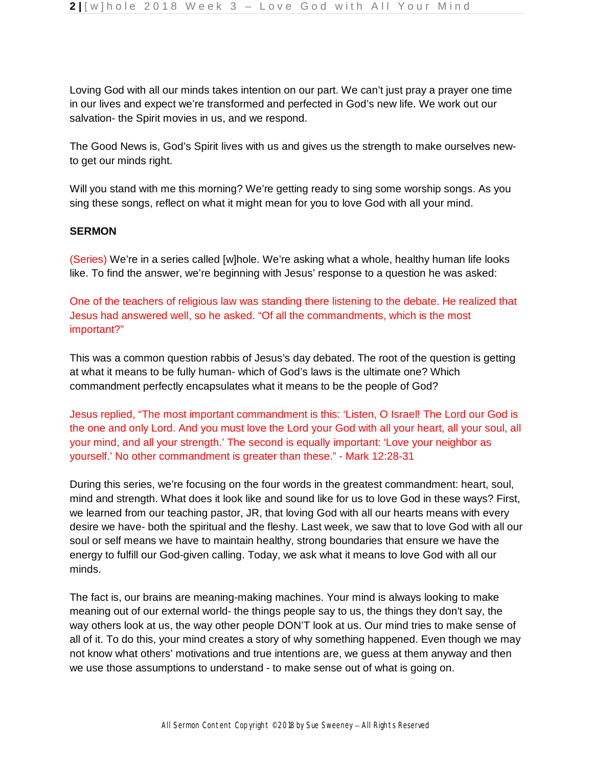Loving God with all our minds takes intention on our part. We can't just pray a prayer one time in our lives and expect we're transformed and perfected in God's new life. We work out our salvation- the Spirit movies in us, and we respond.

The Good News is, God's Spirit lives with us and gives us the strength to make ourselves newto get our minds right.

Will you stand with me this morning? We're getting ready to sing some worship songs. As you sing these songs, reflect on what it might mean for you to love God with all your mind.

### **SERMON**

(Series) We're in a series called [w]hole. We're asking what a whole, healthy human life looks like. To find the answer, we're beginning with Jesus' response to a question he was asked:

One of the teachers of religious law was standing there listening to the debate. He realized that Jesus had answered well, so he asked. "Of all the commandments, which is the most important?"

This was a common question rabbis of Jesus's day debated. The root of the question is getting at what it means to be fully human- which of God's laws is the ultimate one? Which commandment perfectly encapsulates what it means to be the people of God?

Jesus replied, "The most important commandment is this: 'Listen, O Israel! The Lord our God is the one and only Lord. And you must love the Lord your God with all your heart, all your soul, all your mind, and all your strength.' The second is equally important: 'Love your neighbor as yourself.' No other commandment is greater than these." - Mark 12:28-31

During this series, we're focusing on the four words in the greatest commandment: heart, soul, mind and strength. What does it look like and sound like for us to love God in these ways? First, we learned from our teaching pastor, JR, that loving God with all our hearts means with every desire we have- both the spiritual and the fleshy. Last week, we saw that to love God with all our soul or self means we have to maintain healthy, strong boundaries that ensure we have the energy to fulfill our God-given calling. Today, we ask what it means to love God with all our minds.

The fact is, our brains are meaning-making machines. Your mind is always looking to make meaning out of our external world- the things people say to us, the things they don't say, the way others look at us, the way other people DON'T look at us. Our mind tries to make sense of all of it. To do this, your mind creates a story of why something happened. Even though we may not know what others' motivations and true intentions are, we guess at them anyway and then we use those assumptions to understand - to make sense out of what is going on.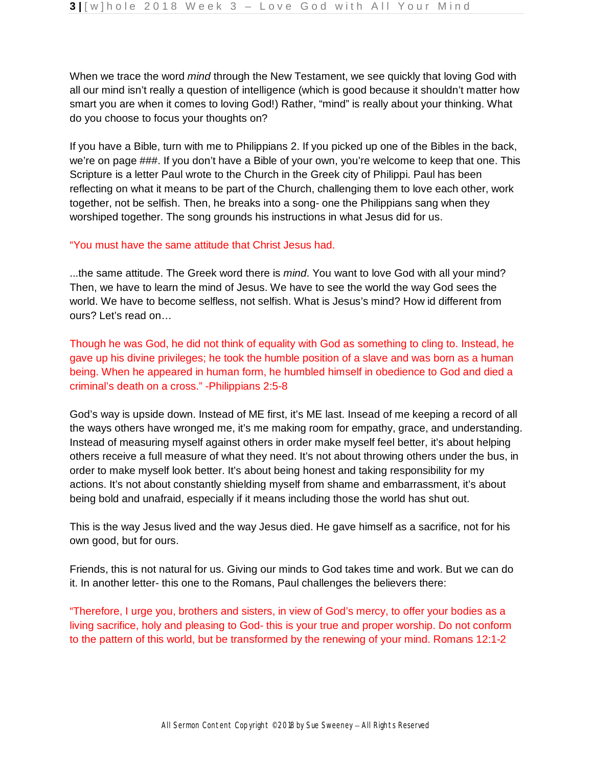When we trace the word *mind* through the New Testament, we see quickly that loving God with all our mind isn't really a question of intelligence (which is good because it shouldn't matter how smart you are when it comes to loving God!) Rather, "mind" is really about your thinking. What do you choose to focus your thoughts on?

If you have a Bible, turn with me to Philippians 2. If you picked up one of the Bibles in the back, we're on page ###. If you don't have a Bible of your own, you're welcome to keep that one. This Scripture is a letter Paul wrote to the Church in the Greek city of Philippi. Paul has been reflecting on what it means to be part of the Church, challenging them to love each other, work together, not be selfish. Then, he breaks into a song- one the Philippians sang when they worshiped together. The song grounds his instructions in what Jesus did for us.

#### "You must have the same attitude that Christ Jesus had.

...the same attitude. The Greek word there is *mind*. You want to love God with all your mind? Then, we have to learn the mind of Jesus. We have to see the world the way God sees the world. We have to become selfless, not selfish. What is Jesus's mind? How id different from ours? Let's read on…

Though he was God, he did not think of equality with God as something to cling to. Instead, he gave up his divine privileges; he took the humble position of a slave and was born as a human being. When he appeared in human form, he humbled himself in obedience to God and died a criminal's death on a cross." -Philippians 2:5-8

God's way is upside down. Instead of ME first, it's ME last. Insead of me keeping a record of all the ways others have wronged me, it's me making room for empathy, grace, and understanding. Instead of measuring myself against others in order make myself feel better, it's about helping others receive a full measure of what they need. It's not about throwing others under the bus, in order to make myself look better. It's about being honest and taking responsibility for my actions. It's not about constantly shielding myself from shame and embarrassment, it's about being bold and unafraid, especially if it means including those the world has shut out.

This is the way Jesus lived and the way Jesus died. He gave himself as a sacrifice, not for his own good, but for ours.

Friends, this is not natural for us. Giving our minds to God takes time and work. But we can do it. In another letter- this one to the Romans, Paul challenges the believers there:

"Therefore, I urge you, brothers and sisters, in view of God's mercy, to offer your bodies as a living sacrifice, holy and pleasing to God- this is your true and proper worship. Do not conform to the pattern of this world, but be transformed by the renewing of your mind. Romans 12:1-2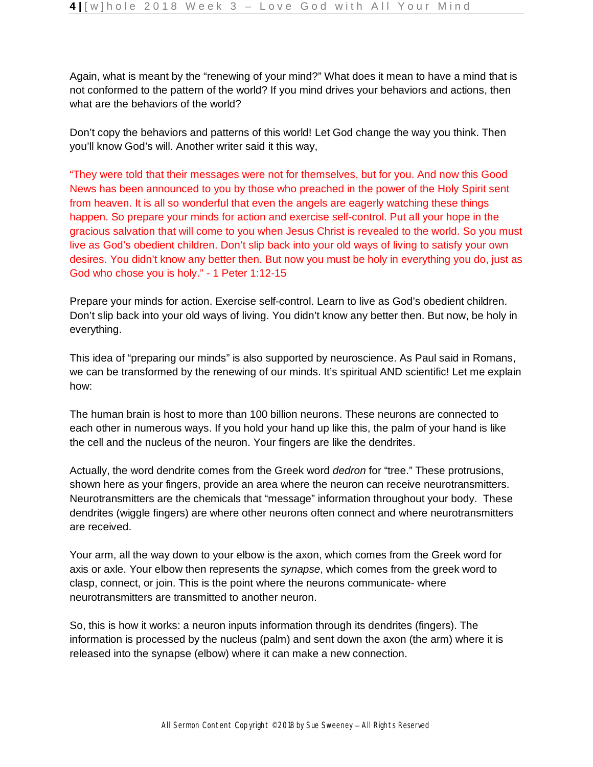Again, what is meant by the "renewing of your mind?" What does it mean to have a mind that is not conformed to the pattern of the world? If you mind drives your behaviors and actions, then what are the behaviors of the world?

Don't copy the behaviors and patterns of this world! Let God change the way you think. Then you'll know God's will. Another writer said it this way,

"They were told that their messages were not for themselves, but for you. And now this Good News has been announced to you by those who preached in the power of the Holy Spirit sent from heaven. It is all so wonderful that even the angels are eagerly watching these things happen. So prepare your minds for action and exercise self-control. Put all your hope in the gracious salvation that will come to you when Jesus Christ is revealed to the world. So you must live as God's obedient children. Don't slip back into your old ways of living to satisfy your own desires. You didn't know any better then. But now you must be holy in everything you do, just as God who chose you is holy." - 1 Peter 1:12-15

Prepare your minds for action. Exercise self-control. Learn to live as God's obedient children. Don't slip back into your old ways of living. You didn't know any better then. But now, be holy in everything.

This idea of "preparing our minds" is also supported by neuroscience. As Paul said in Romans, we can be transformed by the renewing of our minds. It's spiritual AND scientific! Let me explain how:

The human brain is host to more than 100 billion neurons. These neurons are connected to each other in numerous ways. If you hold your hand up like this, the palm of your hand is like the cell and the nucleus of the neuron. Your fingers are like the dendrites.

Actually, the word dendrite comes from the Greek word *dedron* for "tree." These protrusions, shown here as your fingers, provide an area where the neuron can receive neurotransmitters. Neurotransmitters are the chemicals that "message" information throughout your body. These dendrites (wiggle fingers) are where other neurons often connect and where neurotransmitters are received.

Your arm, all the way down to your elbow is the axon, which comes from the Greek word for axis or axle. Your elbow then represents the *synapse*, which comes from the greek word to clasp, connect, or join. This is the point where the neurons communicate- where neurotransmitters are transmitted to another neuron.

So, this is how it works: a neuron inputs information through its dendrites (fingers). The information is processed by the nucleus (palm) and sent down the axon (the arm) where it is released into the synapse (elbow) where it can make a new connection.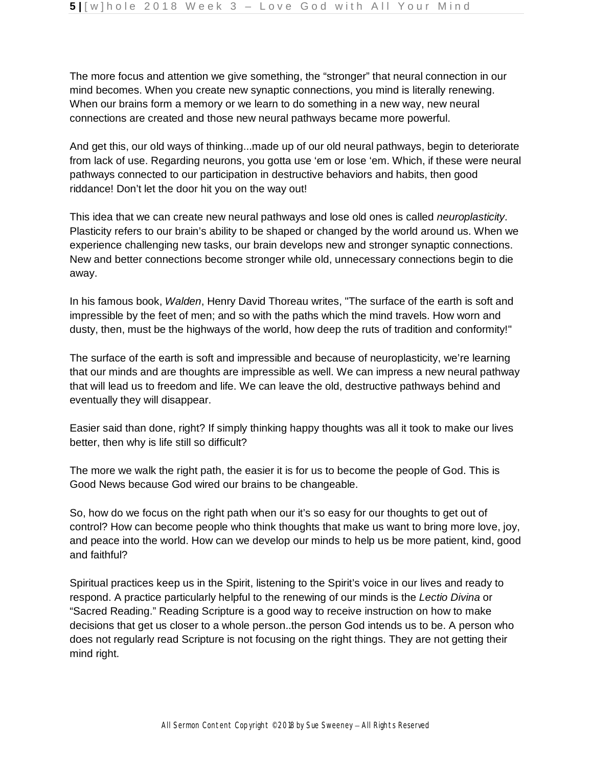The more focus and attention we give something, the "stronger" that neural connection in our mind becomes. When you create new synaptic connections, you mind is literally renewing. When our brains form a memory or we learn to do something in a new way, new neural connections are created and those new neural pathways became more powerful.

And get this, our old ways of thinking...made up of our old neural pathways, begin to deteriorate from lack of use. Regarding neurons, you gotta use 'em or lose 'em. Which, if these were neural pathways connected to our participation in destructive behaviors and habits, then good riddance! Don't let the door hit you on the way out!

This idea that we can create new neural pathways and lose old ones is called *neuroplasticity*. Plasticity refers to our brain's ability to be shaped or changed by the world around us. When we experience challenging new tasks, our brain develops new and stronger synaptic connections. New and better connections become stronger while old, unnecessary connections begin to die away.

In his famous book, *Walden*, Henry David Thoreau writes, "The surface of the earth is soft and impressible by the feet of men; and so with the paths which the mind travels. How worn and dusty, then, must be the highways of the world, how deep the ruts of tradition and conformity!"

The surface of the earth is soft and impressible and because of neuroplasticity, we're learning that our minds and are thoughts are impressible as well. We can impress a new neural pathway that will lead us to freedom and life. We can leave the old, destructive pathways behind and eventually they will disappear.

Easier said than done, right? If simply thinking happy thoughts was all it took to make our lives better, then why is life still so difficult?

The more we walk the right path, the easier it is for us to become the people of God. This is Good News because God wired our brains to be changeable.

So, how do we focus on the right path when our it's so easy for our thoughts to get out of control? How can become people who think thoughts that make us want to bring more love, joy, and peace into the world. How can we develop our minds to help us be more patient, kind, good and faithful?

Spiritual practices keep us in the Spirit, listening to the Spirit's voice in our lives and ready to respond. A practice particularly helpful to the renewing of our minds is the *Lectio Divina* or "Sacred Reading." Reading Scripture is a good way to receive instruction on how to make decisions that get us closer to a whole person..the person God intends us to be. A person who does not regularly read Scripture is not focusing on the right things. They are not getting their mind right.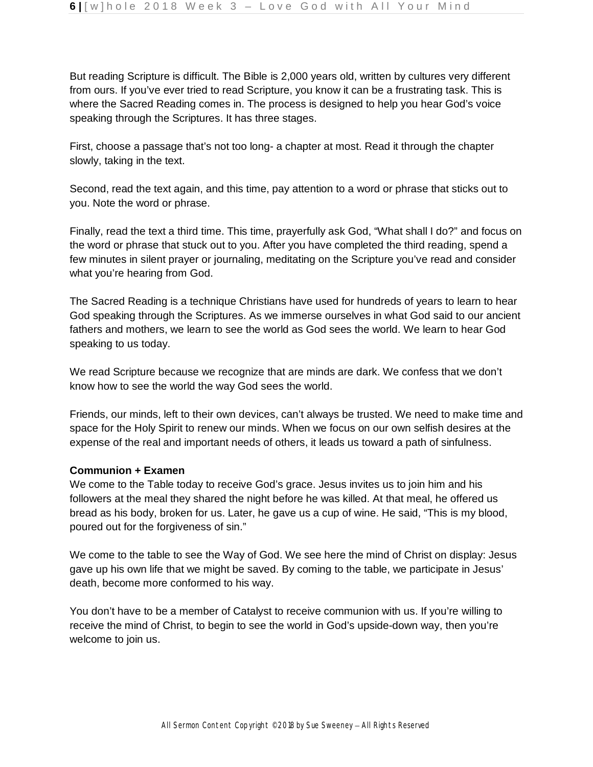But reading Scripture is difficult. The Bible is 2,000 years old, written by cultures very different from ours. If you've ever tried to read Scripture, you know it can be a frustrating task. This is where the Sacred Reading comes in. The process is designed to help you hear God's voice speaking through the Scriptures. It has three stages.

First, choose a passage that's not too long- a chapter at most. Read it through the chapter slowly, taking in the text.

Second, read the text again, and this time, pay attention to a word or phrase that sticks out to you. Note the word or phrase.

Finally, read the text a third time. This time, prayerfully ask God, "What shall I do?" and focus on the word or phrase that stuck out to you. After you have completed the third reading, spend a few minutes in silent prayer or journaling, meditating on the Scripture you've read and consider what you're hearing from God.

The Sacred Reading is a technique Christians have used for hundreds of years to learn to hear God speaking through the Scriptures. As we immerse ourselves in what God said to our ancient fathers and mothers, we learn to see the world as God sees the world. We learn to hear God speaking to us today.

We read Scripture because we recognize that are minds are dark. We confess that we don't know how to see the world the way God sees the world.

Friends, our minds, left to their own devices, can't always be trusted. We need to make time and space for the Holy Spirit to renew our minds. When we focus on our own selfish desires at the expense of the real and important needs of others, it leads us toward a path of sinfulness.

### **Communion + Examen**

We come to the Table today to receive God's grace. Jesus invites us to join him and his followers at the meal they shared the night before he was killed. At that meal, he offered us bread as his body, broken for us. Later, he gave us a cup of wine. He said, "This is my blood, poured out for the forgiveness of sin."

We come to the table to see the Way of God. We see here the mind of Christ on display: Jesus gave up his own life that we might be saved. By coming to the table, we participate in Jesus' death, become more conformed to his way.

You don't have to be a member of Catalyst to receive communion with us. If you're willing to receive the mind of Christ, to begin to see the world in God's upside-down way, then you're welcome to join us.